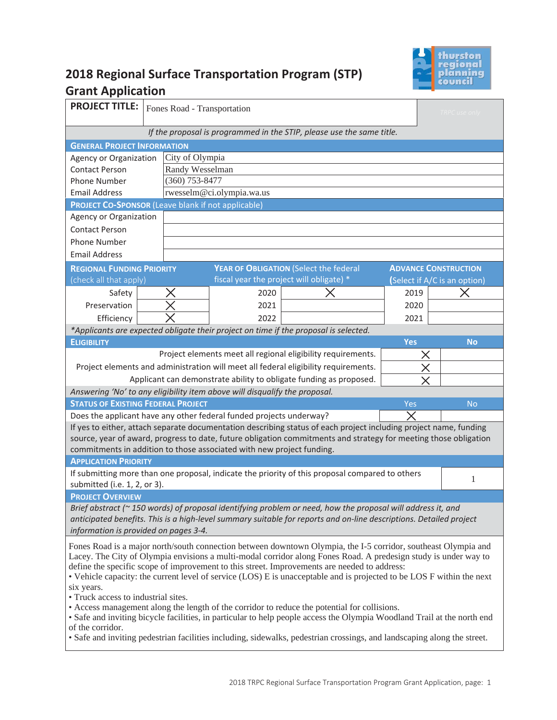

## **2018 Regional Surface Transportation Program (STP) Grant Application**

| <b>PROJECT TITLE:</b>                                                                                                                                                                                                                                          |                  | Fones Road - Transportation<br>TRPC use only |      |                                                                                                                   |            |                              |  |  |
|----------------------------------------------------------------------------------------------------------------------------------------------------------------------------------------------------------------------------------------------------------------|------------------|----------------------------------------------|------|-------------------------------------------------------------------------------------------------------------------|------------|------------------------------|--|--|
| If the proposal is programmed in the STIP, please use the same title.                                                                                                                                                                                          |                  |                                              |      |                                                                                                                   |            |                              |  |  |
| <b>GENERAL PROJECT INFORMATION</b>                                                                                                                                                                                                                             |                  |                                              |      |                                                                                                                   |            |                              |  |  |
| City of Olympia<br>Agency or Organization                                                                                                                                                                                                                      |                  |                                              |      |                                                                                                                   |            |                              |  |  |
| <b>Contact Person</b>                                                                                                                                                                                                                                          | Randy Wesselman  |                                              |      |                                                                                                                   |            |                              |  |  |
| Phone Number                                                                                                                                                                                                                                                   | $(360)$ 753-8477 |                                              |      |                                                                                                                   |            |                              |  |  |
| <b>Email Address</b>                                                                                                                                                                                                                                           |                  | rwesselm@ci.olympia.wa.us                    |      |                                                                                                                   |            |                              |  |  |
| <b>PROJECT CO-SPONSOR (Leave blank if not applicable)</b>                                                                                                                                                                                                      |                  |                                              |      |                                                                                                                   |            |                              |  |  |
| Agency or Organization                                                                                                                                                                                                                                         |                  |                                              |      |                                                                                                                   |            |                              |  |  |
| <b>Contact Person</b>                                                                                                                                                                                                                                          |                  |                                              |      |                                                                                                                   |            |                              |  |  |
| Phone Number                                                                                                                                                                                                                                                   |                  |                                              |      |                                                                                                                   |            |                              |  |  |
| <b>Email Address</b>                                                                                                                                                                                                                                           |                  |                                              |      |                                                                                                                   |            |                              |  |  |
| <b>REGIONAL FUNDING PRIORITY</b>                                                                                                                                                                                                                               |                  |                                              |      | YEAR OF OBLIGATION (Select the federal                                                                            |            | <b>ADVANCE CONSTRUCTION</b>  |  |  |
| (check all that apply)                                                                                                                                                                                                                                         |                  |                                              |      | fiscal year the project will obligate) *                                                                          |            | (Select if A/C is an option) |  |  |
| Safety                                                                                                                                                                                                                                                         |                  |                                              | 2020 |                                                                                                                   | 2019       |                              |  |  |
| Preservation                                                                                                                                                                                                                                                   |                  |                                              | 2021 |                                                                                                                   | 2020       |                              |  |  |
| Efficiency                                                                                                                                                                                                                                                     |                  |                                              | 2022 |                                                                                                                   | 2021       |                              |  |  |
| <b>ELIGIBILITY</b>                                                                                                                                                                                                                                             |                  |                                              |      | *Applicants are expected obligate their project on time if the proposal is selected.                              | <b>Yes</b> | <b>No</b>                    |  |  |
|                                                                                                                                                                                                                                                                |                  |                                              |      | Project elements meet all regional eligibility requirements.                                                      |            |                              |  |  |
|                                                                                                                                                                                                                                                                |                  |                                              |      | Project elements and administration will meet all federal eligibility requirements.                               | X          |                              |  |  |
|                                                                                                                                                                                                                                                                |                  |                                              |      | Applicant can demonstrate ability to obligate funding as proposed.                                                | $\times$   |                              |  |  |
| Answering 'No' to any eligibility item above will disqualify the proposal.                                                                                                                                                                                     |                  |                                              |      |                                                                                                                   |            |                              |  |  |
| <b>STATUS OF EXISTING FEDERAL PROJECT</b>                                                                                                                                                                                                                      |                  |                                              |      |                                                                                                                   | Yes        | <b>No</b>                    |  |  |
| Does the applicant have any other federal funded projects underway?                                                                                                                                                                                            |                  |                                              |      |                                                                                                                   |            |                              |  |  |
|                                                                                                                                                                                                                                                                |                  |                                              |      | If yes to either, attach separate documentation describing status of each project including project name, funding |            |                              |  |  |
|                                                                                                                                                                                                                                                                |                  |                                              |      | source, year of award, progress to date, future obligation commitments and strategy for meeting those obligation  |            |                              |  |  |
| commitments in addition to those associated with new project funding.                                                                                                                                                                                          |                  |                                              |      |                                                                                                                   |            |                              |  |  |
| <b>APPLICATION PRIORITY</b>                                                                                                                                                                                                                                    |                  |                                              |      |                                                                                                                   |            |                              |  |  |
|                                                                                                                                                                                                                                                                |                  |                                              |      | If submitting more than one proposal, indicate the priority of this proposal compared to others                   |            | 1                            |  |  |
| submitted (i.e. 1, 2, or 3).                                                                                                                                                                                                                                   |                  |                                              |      |                                                                                                                   |            |                              |  |  |
| <b>PROJECT OVERVIEW</b>                                                                                                                                                                                                                                        |                  |                                              |      |                                                                                                                   |            |                              |  |  |
| Brief abstract (~ 150 words) of proposal identifying problem or need, how the proposal will address it, and                                                                                                                                                    |                  |                                              |      |                                                                                                                   |            |                              |  |  |
| anticipated benefits. This is a high-level summary suitable for reports and on-line descriptions. Detailed project<br>information is provided on pages 3-4.                                                                                                    |                  |                                              |      |                                                                                                                   |            |                              |  |  |
| Fones Road is a major north/south connection between downtown Olympia, the I-5 corridor, southeast Olympia and<br>Lacey. The City of Olympia envisions a multi-modal corridor along Fones Road. A predesign study is under way to                              |                  |                                              |      |                                                                                                                   |            |                              |  |  |
| define the specific scope of improvement to this street. Improvements are needed to address:<br>• Vehicle capacity: the current level of service (LOS) E is unacceptable and is projected to be LOS F within the next<br>six years.                            |                  |                                              |      |                                                                                                                   |            |                              |  |  |
| • Truck access to industrial sites.<br>• Access management along the length of the corridor to reduce the potential for collisions.<br>• Safe and inviting bicycle facilities, in particular to help people access the Olympia Woodland Trail at the north end |                  |                                              |      |                                                                                                                   |            |                              |  |  |
| of the corridor.<br>• Safe and inviting pedestrian facilities including, sidewalks, pedestrian crossings, and landscaping along the street.                                                                                                                    |                  |                                              |      |                                                                                                                   |            |                              |  |  |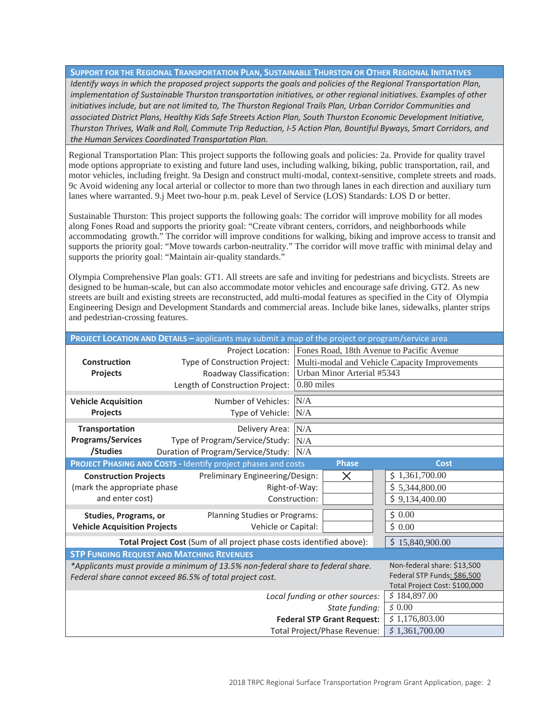**SUPPORT FOR THE REGIONAL TRANSPORTATION PLAN, SUSTAINABLE THURSTON OR OTHER REGIONAL INITIATIVES** *Identify ways in which the proposed project supports the goals and policies of the Regional Transportation Plan, implementation of Sustainable Thurston transportation initiatives, or other regional initiatives. Examples of other* initiatives include, but are not limited to, The Thurston Regional Trails Plan, Urban Corridor Communities and *associated District Plans, Healthy Kids Safe Streets Action Plan, South Thurston Economic Development Initiative, Thurston Thrives, Walk and Roll, Commute Trip Reduction, I-5 Action Plan, Bountiful Byways, Smart Corridors, and the Human Services Coordinated Transportation Plan.* 

Regional Transportation Plan: This project supports the following goals and policies: 2a. Provide for quality travel mode options appropriate to existing and future land uses, including walking, biking, public transportation, rail, and motor vehicles, including freight. 9a Design and construct multi-modal, context-sensitive, complete streets and roads. 9c Avoid widening any local arterial or collector to more than two through lanes in each direction and auxiliary turn lanes where warranted. 9.j Meet two-hour p.m. peak Level of Service (LOS) Standards: LOS D or better.

Sustainable Thurston: This project supports the following goals: The corridor will improve mobility for all modes along Fones Road and supports the priority goal: "Create vibrant centers, corridors, and neighborhoods while accommodating growth." The corridor will improve conditions for walking, biking and improve access to transit and supports the priority goal: "Move towards carbon-neutrality." The corridor will move traffic with minimal delay and supports the priority goal: "Maintain air-quality standards."

Olympia Comprehensive Plan goals: GT1. All streets are safe and inviting for pedestrians and bicyclists. Streets are designed to be human-scale, but can also accommodate motor vehicles and encourage safe driving. GT2. As new streets are built and existing streets are reconstructed, add multi-modal features as specified in the City of Olympia Engineering Design and Development Standards and commercial areas. Include bike lanes, sidewalks, planter strips and pedestrian-crossing features.

| PROJECT LOCATION AND DETAILS - applicants may submit a map of the project or program/service area |                                                                |                                               |  |  |  |  |
|---------------------------------------------------------------------------------------------------|----------------------------------------------------------------|-----------------------------------------------|--|--|--|--|
|                                                                                                   | Fones Road, 18th Avenue to Pacific Avenue<br>Project Location: |                                               |  |  |  |  |
| <b>Construction</b>                                                                               | Type of Construction Project:                                  | Multi-modal and Vehicle Capacity Improvements |  |  |  |  |
| Projects                                                                                          | Urban Minor Arterial #5343<br>Roadway Classification:          |                                               |  |  |  |  |
|                                                                                                   | Length of Construction Project:                                | 0.80 miles                                    |  |  |  |  |
| <b>Vehicle Acquisition</b>                                                                        | N/A<br>Number of Vehicles:                                     |                                               |  |  |  |  |
| Projects                                                                                          | Type of Vehicle:<br>N/A                                        |                                               |  |  |  |  |
| Transportation                                                                                    | N/A<br>Delivery Area:                                          |                                               |  |  |  |  |
| <b>Programs/Services</b>                                                                          | Type of Program/Service/Study:<br>N/A                          |                                               |  |  |  |  |
| /Studies                                                                                          | Duration of Program/Service/Study:   N/A                       |                                               |  |  |  |  |
| <b>Phase</b><br>Cost<br>PROJECT PHASING AND COSTS - Identify project phases and costs             |                                                                |                                               |  |  |  |  |
| <b>Construction Projects</b>                                                                      | Preliminary Engineering/Design:<br>X                           | \$1,361,700.00                                |  |  |  |  |
| (mark the appropriate phase                                                                       | Right-of-Way:                                                  | \$5,344,800.00                                |  |  |  |  |
| and enter cost)                                                                                   | Construction:                                                  | \$9,134,400.00                                |  |  |  |  |
| <b>Studies, Programs, or</b>                                                                      | Planning Studies or Programs:                                  | \$0.00                                        |  |  |  |  |
| <b>Vehicle Acquisition Projects</b>                                                               | Vehicle or Capital:                                            | \$0.00                                        |  |  |  |  |
| Total Project Cost (Sum of all project phase costs identified above):                             | \$15,840,900.00                                                |                                               |  |  |  |  |
| <b>STP FUNDING REQUEST AND MATCHING REVENUES</b>                                                  |                                                                |                                               |  |  |  |  |
| *Applicants must provide a minimum of 13.5% non-federal share to federal share.                   | Non-federal share: \$13,500                                    |                                               |  |  |  |  |
| Federal share cannot exceed 86.5% of total project cost.                                          | Federal STP Funds: \$86,500                                    |                                               |  |  |  |  |
|                                                                                                   | Total Project Cost: \$100,000                                  |                                               |  |  |  |  |
|                                                                                                   | \$184,897.00                                                   |                                               |  |  |  |  |
|                                                                                                   | \$0.00                                                         |                                               |  |  |  |  |
|                                                                                                   | \$1,176,803.00                                                 |                                               |  |  |  |  |
|                                                                                                   | \$1,361,700.00                                                 |                                               |  |  |  |  |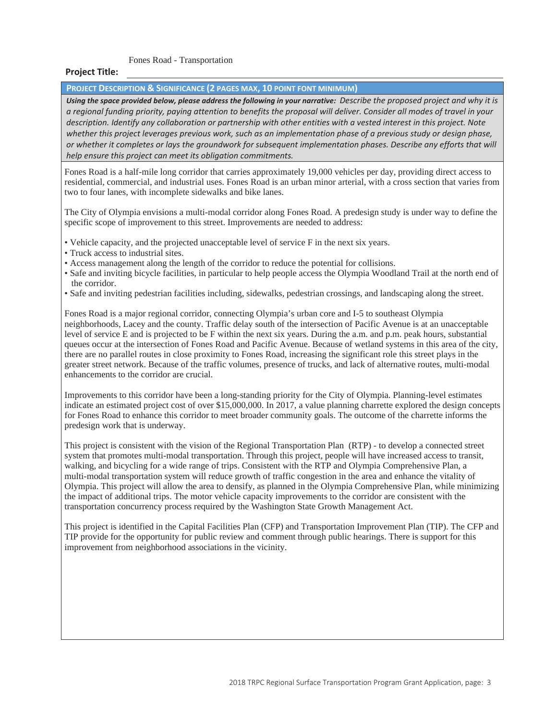Fones Road - Transportation

## **Project Title:**

**PROJECT DESCRIPTION & SIGNIFICANCE (2 PAGES MAX, 10 POINT FONT MINIMUM)** 

*Using the space provided below, please address the following in your narrative: Describe the proposed project and why it is a regional funding priority, paying attention to benefits the proposal will deliver. Consider all modes of travel in your description. Identify any collaboration or partnership with other entities with a vested interest in this project. Note*  whether this project leverages previous work, such as an implementation phase of a previous study or design phase, *or whether it completes or lays the groundwork for subsequent implementation phases. Describe any efforts that will help ensure this project can meet its obligation commitments.* 

Fones Road is a half-mile long corridor that carries approximately 19,000 vehicles per day, providing direct access to residential, commercial, and industrial uses. Fones Road is an urban minor arterial, with a cross section that varies from two to four lanes, with incomplete sidewalks and bike lanes.

The City of Olympia envisions a multi-modal corridor along Fones Road. A predesign study is under way to define the specific scope of improvement to this street. Improvements are needed to address:

- Vehicle capacity, and the projected unacceptable level of service F in the next six years.
- Truck access to industrial sites.
- Access management along the length of the corridor to reduce the potential for collisions.
- Safe and inviting bicycle facilities, in particular to help people access the Olympia Woodland Trail at the north end of the corridor.
- Safe and inviting pedestrian facilities including, sidewalks, pedestrian crossings, and landscaping along the street.

Fones Road is a major regional corridor, connecting Olympia's urban core and I-5 to southeast Olympia neighborhoods, Lacey and the county. Traffic delay south of the intersection of Pacific Avenue is at an unacceptable level of service E and is projected to be F within the next six years. During the a.m. and p.m. peak hours, substantial queues occur at the intersection of Fones Road and Pacific Avenue. Because of wetland systems in this area of the city, there are no parallel routes in close proximity to Fones Road, increasing the significant role this street plays in the greater street network. Because of the traffic volumes, presence of trucks, and lack of alternative routes, multi-modal enhancements to the corridor are crucial.

Improvements to this corridor have been a long-standing priority for the City of Olympia. Planning-level estimates indicate an estimated project cost of over \$15,000,000. In 2017, a value planning charrette explored the design concepts for Fones Road to enhance this corridor to meet broader community goals. The outcome of the charrette informs the predesign work that is underway.

This project is consistent with the vision of the Regional Transportation Plan (RTP) - to develop a connected street system that promotes multi-modal transportation. Through this project, people will have increased access to transit, walking, and bicycling for a wide range of trips. Consistent with the RTP and Olympia Comprehensive Plan, a multi-modal transportation system will reduce growth of traffic congestion in the area and enhance the vitality of Olympia. This project will allow the area to densify, as planned in the Olympia Comprehensive Plan, while minimizing the impact of additional trips. The motor vehicle capacity improvements to the corridor are consistent with the transportation concurrency process required by the Washington State Growth Management Act.

This project is identified in the Capital Facilities Plan (CFP) and Transportation Improvement Plan (TIP). The CFP and TIP provide for the opportunity for public review and comment through public hearings. There is support for this improvement from neighborhood associations in the vicinity.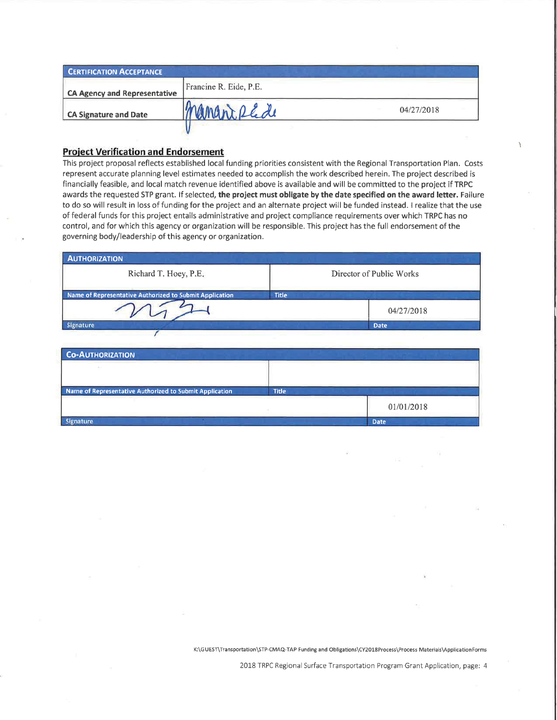| <b>CERTIFICATION ACCEPTANCE</b>     |                        |            |  |  |  |  |
|-------------------------------------|------------------------|------------|--|--|--|--|
| <b>CA Agency and Representative</b> | Francine R. Eide, P.E. |            |  |  |  |  |
| <b>CA Signature and Date</b>        | Rede                   | 04/27/2018 |  |  |  |  |
|                                     |                        |            |  |  |  |  |

## **Project Verification and Endorsement**

This project proposal reflects established local funding priorities consistent with the Regional Transportation Plan. Costs represent accurate planning level estimates needed to accomplish the work described herein. The project described is financially feasible, and local match revenue identified above is available and will be committed to the project if TRPC awards the requested STP grant. If selected, the project must obligate by the date specified on the award letter. Failure to do so will result in loss of funding for the project and an alternate project will be funded instead. I realize that the use of federal funds for this project entails administrative and project compliance requirements over which TRPC has no control, and for which this agency or organization will be responsible. This project has the full endorsement of the governing body/leadership of this agency or organization.

| <b>AUTHORIZATION</b>                                    |                          |  |  |
|---------------------------------------------------------|--------------------------|--|--|
| Richard T. Hoey, P.E.                                   | Director of Public Works |  |  |
| Name of Representative Authorized to Submit Application | <b>Title</b>             |  |  |
|                                                         | 04/27/2018               |  |  |
| Signature                                               | <b>Date</b>              |  |  |
|                                                         |                          |  |  |

| <b>CO-AUTHORIZATION</b>                                 |              |             |
|---------------------------------------------------------|--------------|-------------|
|                                                         |              |             |
|                                                         |              |             |
| Name of Representative Authorized to Submit Application | <b>Title</b> |             |
|                                                         |              | 01/01/2018  |
| ature                                                   |              | <b>Date</b> |

K:\GUEST\Transportation\STP-CMAQ-TAP Funding and Obligations\CY2018Process\Process Materials\ApplicationForms

2018 TRPC Regional Surface Transportation Program Grant Application, page: 4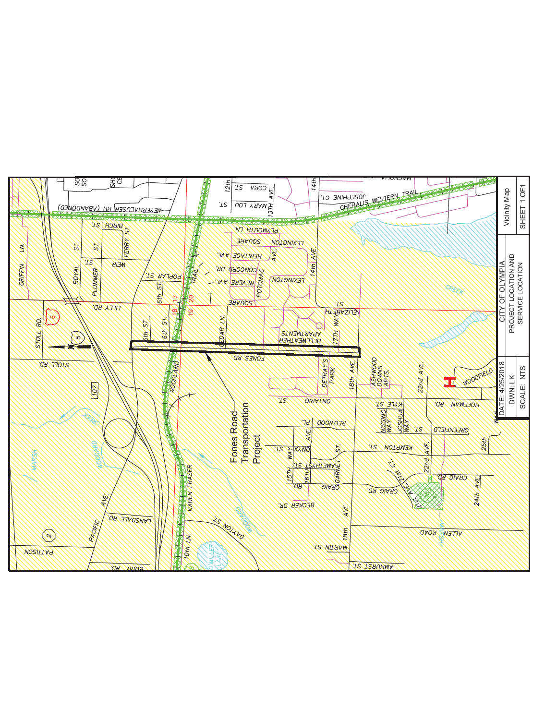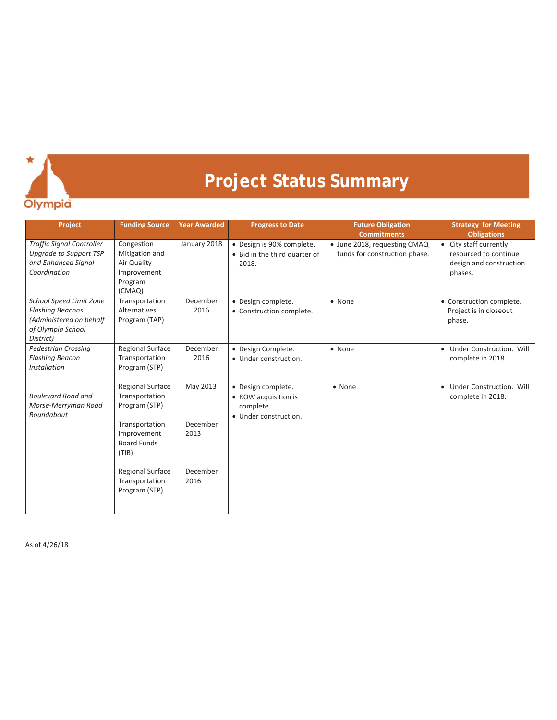

## **Project Status Summary**

| Project                                                                                                         | <b>Funding Source</b>                                                                                                                                                      | <b>Year Awarded</b>                              | <b>Progress to Date</b>                                                          | <b>Future Obligation</b><br><b>Commitments</b>                | <b>Strategy for Meeting</b><br><b>Obligations</b>                                     |
|-----------------------------------------------------------------------------------------------------------------|----------------------------------------------------------------------------------------------------------------------------------------------------------------------------|--------------------------------------------------|----------------------------------------------------------------------------------|---------------------------------------------------------------|---------------------------------------------------------------------------------------|
| <b>Traffic Signal Controller</b><br>Upgrade to Support TSP<br>and Enhanced Signal<br>Coordination               | Congestion<br>Mitigation and<br>Air Quality<br>Improvement<br>Program<br>(CMAQ)                                                                                            | January 2018                                     | · Design is 90% complete.<br>• Bid in the third quarter of<br>2018.              | • June 2018, requesting CMAQ<br>funds for construction phase. | • City staff currently<br>resourced to continue<br>design and construction<br>phases. |
| School Speed Limit Zone<br><b>Flashing Beacons</b><br>(Administered on behalf<br>of Olympia School<br>District) | Transportation<br>Alternatives<br>Program (TAP)                                                                                                                            | December<br>2016                                 | · Design complete.<br>• Construction complete.                                   | • None                                                        | • Construction complete.<br>Project is in closeout<br>phase.                          |
| <b>Pedestrian Crossing</b><br><b>Flashing Beacon</b><br><b>Installation</b>                                     | <b>Regional Surface</b><br>Transportation<br>Program (STP)                                                                                                                 | December<br>2016                                 | · Design Complete.<br>• Under construction.                                      | • None                                                        | <b>Under Construction. Will</b><br>$\bullet$<br>complete in 2018.                     |
| <b>Boulevard Road and</b><br>Morse-Merryman Road<br>Roundabout                                                  | Regional Surface<br>Transportation<br>Program (STP)<br>Transportation<br>Improvement<br><b>Board Funds</b><br>(TIB)<br>Regional Surface<br>Transportation<br>Program (STP) | May 2013<br>December<br>2013<br>December<br>2016 | · Design complete.<br>• ROW acquisition is<br>complete.<br>• Under construction. | • None                                                        | • Under Construction. Will<br>complete in 2018.                                       |

As of 4/26/18